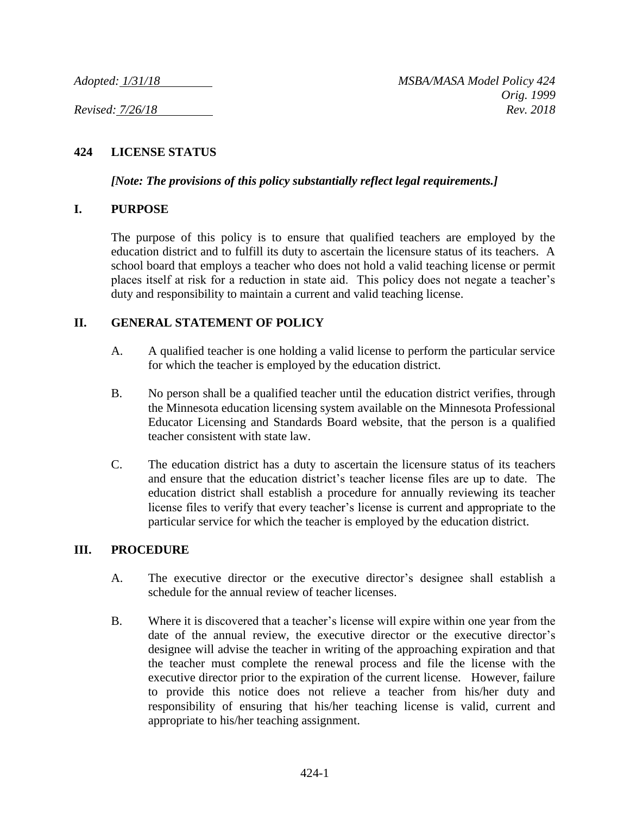## **424 LICENSE STATUS**

*[Note: The provisions of this policy substantially reflect legal requirements.]*

## **I. PURPOSE**

The purpose of this policy is to ensure that qualified teachers are employed by the education district and to fulfill its duty to ascertain the licensure status of its teachers. A school board that employs a teacher who does not hold a valid teaching license or permit places itself at risk for a reduction in state aid. This policy does not negate a teacher's duty and responsibility to maintain a current and valid teaching license.

## **II. GENERAL STATEMENT OF POLICY**

- A. A qualified teacher is one holding a valid license to perform the particular service for which the teacher is employed by the education district.
- B. No person shall be a qualified teacher until the education district verifies, through the Minnesota education licensing system available on the Minnesota Professional Educator Licensing and Standards Board website, that the person is a qualified teacher consistent with state law.
- C. The education district has a duty to ascertain the licensure status of its teachers and ensure that the education district's teacher license files are up to date. The education district shall establish a procedure for annually reviewing its teacher license files to verify that every teacher's license is current and appropriate to the particular service for which the teacher is employed by the education district.

## **III. PROCEDURE**

- A. The executive director or the executive director's designee shall establish a schedule for the annual review of teacher licenses.
- B. Where it is discovered that a teacher's license will expire within one year from the date of the annual review, the executive director or the executive director's designee will advise the teacher in writing of the approaching expiration and that the teacher must complete the renewal process and file the license with the executive director prior to the expiration of the current license. However, failure to provide this notice does not relieve a teacher from his/her duty and responsibility of ensuring that his/her teaching license is valid, current and appropriate to his/her teaching assignment.